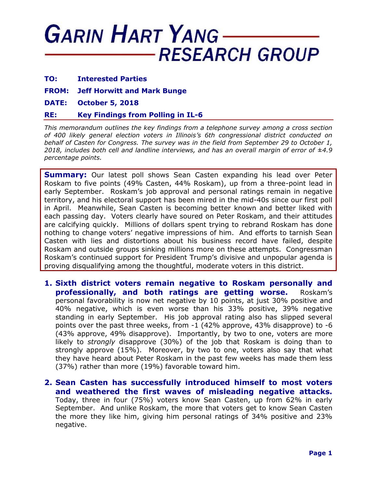## **GARIN HART YANG RESEARCH GROUP**

- **TO: Interested Parties**
- **FROM: Jeff Horwitt and Mark Bunge**
- **DATE: October 5, 2018**

## **RE: Key Findings from Polling in IL-6**

*This memorandum outlines the key findings from a telephone survey among a cross section of 400 likely general election voters in Illinois's 6th congressional district conducted on behalf of Casten for Congress. The survey was in the field from September 29 to October 1, 2018, includes both cell and landline interviews, and has an overall margin of error of ±4.9 percentage points.*

**Summary:** Our latest poll shows Sean Casten expanding his lead over Peter Roskam to five points (49% Casten, 44% Roskam), up from a three-point lead in early September. Roskam's job approval and personal ratings remain in negative territory, and his electoral support has been mired in the mid-40s since our first poll in April. Meanwhile, Sean Casten is becoming better known and better liked with each passing day. Voters clearly have soured on Peter Roskam, and their attitudes are calcifying quickly. Millions of dollars spent trying to rebrand Roskam has done nothing to change voters' negative impressions of him. And efforts to tarnish Sean Casten with lies and distortions about his business record have failed, despite Roskam and outside groups sinking millions more on these attempts. Congressman Roskam's continued support for President Trump's divisive and unpopular agenda is proving disqualifying among the thoughtful, moderate voters in this district.

**1. Sixth district voters remain negative to Roskam personally and professionally, and both ratings are getting worse.** Roskam's personal favorability is now net negative by 10 points, at just 30% positive and 40% negative, which is even worse than his 33% positive, 39% negative standing in early September. His job approval rating also has slipped several points over the past three weeks, from -1 (42% approve, 43% disapprove) to -6 (43% approve, 49% disapprove). Importantly, by two to one, voters are more likely to *strongly* disapprove (30%) of the job that Roskam is doing than to strongly approve (15%). Moreover, by two to one, voters also say that what they have heard about Peter Roskam in the past few weeks has made them less (37%) rather than more (19%) favorable toward him.

**2. Sean Casten has successfully introduced himself to most voters and weathered the first waves of misleading negative attacks.**  Today, three in four (75%) voters know Sean Casten, up from 62% in early September. And unlike Roskam, the more that voters get to know Sean Casten the more they like him, giving him personal ratings of 34% positive and 23% negative.